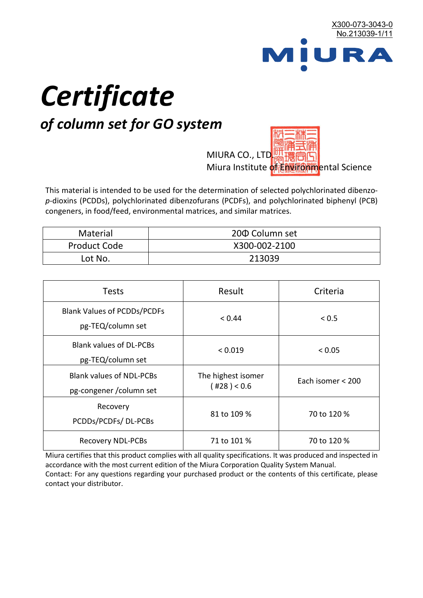

# *Certificate*

## *of column set for GO system*

MIURA CO., LTD. Miura Institute of 正版而解ental Science

This material is intended to be used for the determination of selected polychlorinated dibenzo*p*-dioxins (PCDDs), polychlorinated dibenzofurans (PCDFs), and polychlorinated biphenyl (PCB) congeners, in food/feed, environmental matrices, and similar matrices.

| <b>Material</b>     | 200 Column set |  |
|---------------------|----------------|--|
| <b>Product Code</b> | X300-002-2100  |  |
| Lot No.             | 213039         |  |

| <b>Tests</b>                                                | Result                            | Criteria          |
|-------------------------------------------------------------|-----------------------------------|-------------------|
| <b>Blank Values of PCDDs/PCDFs</b><br>pg-TEQ/column set     | < 0.44                            | < 0.5             |
| <b>Blank values of DL-PCBs</b><br>pg-TEQ/column set         | < 0.019                           | < 0.05            |
| <b>Blank values of NDL-PCBs</b><br>pg-congener / column set | The highest isomer<br>(428) < 0.6 | Each isomer < 200 |
| Recovery<br>PCDDs/PCDFs/DL-PCBs                             | 81 to 109 %                       | 70 to 120 %       |
| <b>Recovery NDL-PCBs</b>                                    | 71 to 101 %                       | 70 to 120 %       |

Miura certifies that this product complies with all quality specifications. It was produced and inspected in accordance with the most current edition of the Miura Corporation Quality System Manual. Contact: For any questions regarding your purchased product or the contents of this certificate, please contact your distributor.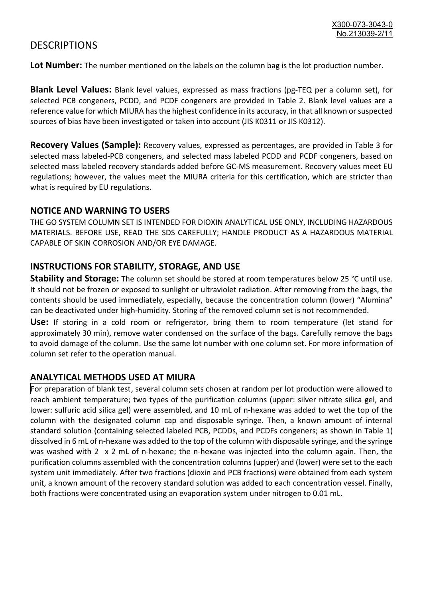### **DESCRIPTIONS**

**Lot Number:** The number mentioned on the labels on the column bag is the lot production number.

**Blank Level Values:** Blank level values, expressed as mass fractions (pg-TEQ per a column set), for selected PCB congeners, PCDD, and PCDF congeners are provided in Table 2. Blank level values are a reference value for which MIURA has the highest confidence in its accuracy, in that all known or suspected sources of bias have been investigated or taken into account (JIS K0311 or JIS K0312).

**Recovery Values (Sample):** Recovery values, expressed as percentages, are provided in Table 3 for selected mass labeled-PCB congeners, and selected mass labeled PCDD and PCDF congeners, based on selected mass labeled recovery standards added before GC-MS measurement. Recovery values meet EU regulations; however, the values meet the MIURA criteria for this certification, which are stricter than what is required by EU regulations.

#### **NOTICE AND WARNING TO USERS**

THE GO SYSTEM COLUMN SET IS INTENDED FOR DIOXIN ANALYTICAL USE ONLY, INCLUDING HAZARDOUS MATERIALS. BEFORE USE, READ THE SDS CAREFULLY; HANDLE PRODUCT AS A HAZARDOUS MATERIAL CAPABLE OF SKIN CORROSION AND/OR EYE DAMAGE.

#### **INSTRUCTIONS FOR STABILITY, STORAGE, AND USE**

**Stability and Storage:** The column set should be stored at room temperatures below 25 °C until use. It should not be frozen or exposed to sunlight or ultraviolet radiation. After removing from the bags, the contents should be used immediately, especially, because the concentration column (lower) "Alumina" can be deactivated under high-humidity. Storing of the removed column set is not recommended.

**Use:** If storing in a cold room or refrigerator, bring them to room temperature (let stand for approximately 30 min), remove water condensed on the surface of the bags. Carefully remove the bags to avoid damage of the column. Use the same lot number with one column set. For more information of column set refer to the operation manual.

#### **ANALYTICAL METHODS USED AT MIURA**

For preparation of blank test, several column sets chosen at random per lot production were allowed to reach ambient temperature; two types of the purification columns (upper: silver nitrate silica gel, and lower: sulfuric acid silica gel) were assembled, and 10 mL of n-hexane was added to wet the top of the column with the designated column cap and disposable syringe. Then, a known amount of internal standard solution (containing selected labeled PCB, PCDDs, and PCDFs congeners; as shown in Table 1) dissolved in 6 mL of n-hexane was added to the top of the column with disposable syringe, and the syringe was washed with 2 x 2 mL of n-hexane; the n-hexane was injected into the column again. Then, the purification columns assembled with the concentration columns (upper) and (lower) were set to the each system unit immediately. After two fractions (dioxin and PCB fractions) were obtained from each system unit, a known amount of the recovery standard solution was added to each concentration vessel. Finally, both fractions were concentrated using an evaporation system under nitrogen to 0.01 mL.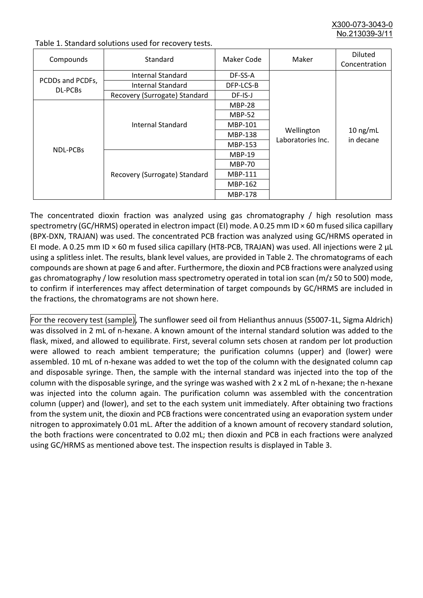X300-073-3043-0 No.213039-3/

| Compounds                   | Standard                      | Maker Code     | Maker                           | <b>Diluted</b><br>Concentration |
|-----------------------------|-------------------------------|----------------|---------------------------------|---------------------------------|
| PCDDs and PCDFs,<br>DL-PCBs | Internal Standard             | DF-SS-A        |                                 | $10$ ng/mL<br>in decane         |
|                             | <b>Internal Standard</b>      | DFP-LCS-B      |                                 |                                 |
|                             | Recovery (Surrogate) Standard | DF-IS-J        | Wellington<br>Laboratories Inc. |                                 |
| <b>NDL-PCBs</b>             | Internal Standard             | <b>MBP-28</b>  |                                 |                                 |
|                             |                               | <b>MBP-52</b>  |                                 |                                 |
|                             |                               | MBP-101        |                                 |                                 |
|                             |                               | <b>MBP-138</b> |                                 |                                 |
|                             |                               | MBP-153        |                                 |                                 |
|                             | Recovery (Surrogate) Standard | <b>MBP-19</b>  |                                 |                                 |
|                             |                               | <b>MBP-70</b>  |                                 |                                 |
|                             |                               | MBP-111        |                                 |                                 |
|                             |                               | MBP-162        |                                 |                                 |
|                             |                               | <b>MBP-178</b> |                                 |                                 |

Table 1. Standard solutions used for recovery tests.

The concentrated dioxin fraction was analyzed using gas chromatography / high resolution mass spectrometry (GC/HRMS) operated in electron impact (EI) mode. A 0.25 mm ID × 60 m fused silica capillary (BPX-DXN, TRAJAN) was used. The concentrated PCB fraction was analyzed using GC/HRMS operated in EI mode. A 0.25 mm ID × 60 m fused silica capillary (HT8-PCB, TRAJAN) was used. All injections were 2 μL using a splitless inlet. The results, blank level values, are provided in Table 2. The chromatograms of each compounds are shown at page 6 and after. Furthermore, the dioxin and PCB fractions were analyzed using gas chromatography / low resolution mass spectrometry operated in total ion scan (m/z 50 to 500) mode, to confirm if interferences may affect determination of target compounds by GC/HRMS are included in the fractions, the chromatograms are not shown here.

For the recovery test (sample), The sunflower seed oil from Helianthus annuus (S5007-1L, Sigma Aldrich) was dissolved in 2 mL of n-hexane. A known amount of the internal standard solution was added to the flask, mixed, and allowed to equilibrate. First, several column sets chosen at random per lot production were allowed to reach ambient temperature; the purification columns (upper) and (lower) were assembled. 10 mL of n-hexane was added to wet the top of the column with the designated column cap and disposable syringe. Then, the sample with the internal standard was injected into the top of the column with the disposable syringe, and the syringe was washed with 2 x 2 mL of n-hexane; the n-hexane was injected into the column again. The purification column was assembled with the concentration column (upper) and (lower), and set to the each system unit immediately. After obtaining two fractions from the system unit, the dioxin and PCB fractions were concentrated using an evaporation system under nitrogen to approximately 0.01 mL. After the addition of a known amount of recovery standard solution, the both fractions were concentrated to 0.02 mL; then dioxin and PCB in each fractions were analyzed using GC/HRMS as mentioned above test. The inspection results is displayed in Table 3.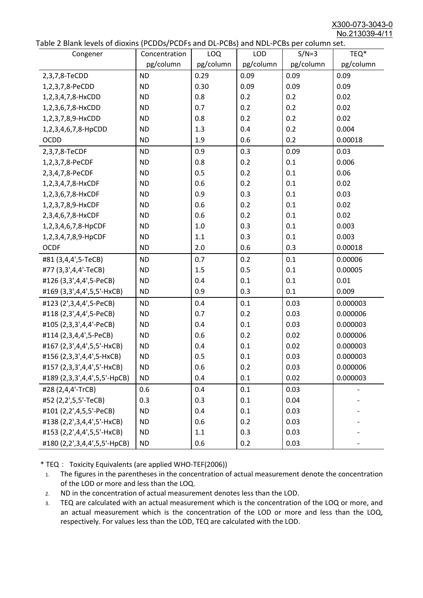X300-073-3043-0 No.213039-4/11

|  | Table 2 Blank levels of dioxins (PCDDs/PCDFs and DL-PCBs) and NDL-PCBs per column set. |
|--|----------------------------------------------------------------------------------------|
|--|----------------------------------------------------------------------------------------|

| abic 2 Diarik icveis of dioxins (I CDD3/TCDTs and DET CD3/ and NDET CD3 pcr column sett.<br>Congener | Concentration | <b>LOQ</b> | <b>LOD</b> | $S/N=3$   | TEQ*      |
|------------------------------------------------------------------------------------------------------|---------------|------------|------------|-----------|-----------|
|                                                                                                      | pg/column     | pg/column  | pg/column  | pg/column | pg/column |
| 2,3,7,8-TeCDD                                                                                        | <b>ND</b>     | 0.29       | 0.09       | 0.09      | 0.09      |
| 1,2,3,7,8-PeCDD                                                                                      | <b>ND</b>     | 0.30       | 0.09       | 0.09      | 0.09      |
| 1,2,3,4,7,8-HxCDD                                                                                    | <b>ND</b>     | 0.8        | 0.2        | 0.2       | 0.02      |
| 1,2,3,6,7,8-HxCDD                                                                                    | <b>ND</b>     | 0.7        | 0.2        | 0.2       | 0.02      |
| 1,2,3,7,8,9-HxCDD                                                                                    | <b>ND</b>     | 0.8        | 0.2        | 0.2       | 0.02      |
| 1,2,3,4,6,7,8-HpCDD                                                                                  | <b>ND</b>     | 1.3        | 0.4        | 0.2       | 0.004     |
| <b>OCDD</b>                                                                                          | <b>ND</b>     | 1.9        | 0.6        | 0.2       | 0.00018   |
| 2,3,7,8-TeCDF                                                                                        | <b>ND</b>     | 0.9        | 0.3        | 0.09      | 0.03      |
| 1,2,3,7,8-PeCDF                                                                                      | <b>ND</b>     | 0.8        | 0.2        | 0.1       | 0.006     |
| 2,3,4,7,8-PeCDF                                                                                      | <b>ND</b>     | 0.5        | 0.2        | 0.1       | 0.06      |
| 1,2,3,4,7,8-HxCDF                                                                                    | <b>ND</b>     | 0.6        | 0.2        | 0.1       | 0.02      |
| 1,2,3,6,7,8-HxCDF                                                                                    | <b>ND</b>     | 0.9        | 0.3        | 0.1       | 0.03      |
| 1,2,3,7,8,9-HxCDF                                                                                    | <b>ND</b>     | 0.6        | 0.2        | 0.1       | 0.02      |
| 2,3,4,6,7,8-HxCDF                                                                                    | <b>ND</b>     | 0.6        | 0.2        | 0.1       | 0.02      |
| 1,2,3,4,6,7,8-HpCDF                                                                                  | <b>ND</b>     | 1.0        | 0.3        | 0.1       | 0.003     |
| 1,2,3,4,7,8,9-HpCDF                                                                                  | <b>ND</b>     | 1.1        | 0.3        | 0.1       | 0.003     |
| <b>OCDF</b>                                                                                          | <b>ND</b>     | 2.0        | 0.6        | 0.3       | 0.00018   |
| #81 (3,4,4',5-TeCB)                                                                                  | <b>ND</b>     | 0.7        | 0.2        | 0.1       | 0.00006   |
| #77 (3,3',4,4'-TeCB)                                                                                 | <b>ND</b>     | 1.5        | 0.5        | 0.1       | 0.00005   |
| #126 (3,3',4,4',5-PeCB)                                                                              | <b>ND</b>     | 0.4        | 0.1        | 0.1       | 0.01      |
| #169 (3,3',4,4',5,5'-HxCB)                                                                           | <b>ND</b>     | 0.9        | 0.3        | 0.1       | 0.009     |
| #123 (2',3,4,4',5-PeCB)                                                                              | <b>ND</b>     | 0.4        | 0.1        | 0.03      | 0.000003  |
| #118 (2,3',4,4',5-PeCB)                                                                              | <b>ND</b>     | 0.7        | 0.2        | 0.03      | 0.000006  |
| #105 (2,3,3',4,4'-PeCB)                                                                              | <b>ND</b>     | 0.4        | 0.1        | 0.03      | 0.000003  |
| #114 (2,3,4,4',5-PeCB)                                                                               | <b>ND</b>     | 0.6        | 0.2        | 0.02      | 0.000006  |
| #167 (2,3',4,4',5,5'-HxCB)                                                                           | <b>ND</b>     | 0.4        | 0.1        | 0.02      | 0.000003  |
| #156 (2,3,3',4,4',5-HxCB)                                                                            | <b>ND</b>     | 0.5        | 0.1        | 0.03      | 0.000003  |
| #157 (2,3,3',4,4',5'-HxCB)                                                                           | <b>ND</b>     | 0.6        | 0.2        | 0.03      | 0.000006  |
| #189 (2,3,3',4,4',5,5'-HpCB)                                                                         | <b>ND</b>     | 0.4        | 0.1        | 0.02      | 0.000003  |
| #28 (2,4,4'-TrCB)                                                                                    | 0.6           | 0.4        | 0.1        | 0.03      |           |
| #52 (2,2',5,5'-TeCB)                                                                                 | 0.3           | 0.3        | 0.1        | 0.04      |           |
| #101 (2,2',4,5,5'-PeCB)                                                                              | <b>ND</b>     | 0.4        | 0.1        | 0.03      |           |
| #138 (2,2',3,4,4',5'-HxCB)                                                                           | <b>ND</b>     | 0.6        | 0.2        | 0.03      |           |
| #153 (2,2',4,4',5,5'-HxCB)                                                                           | <b>ND</b>     | 1.1        | 0.3        | 0.03      |           |
| #180 (2,2',3,4,4',5,5'-HpCB)                                                                         | <b>ND</b>     | 0.6        | 0.2        | 0.03      |           |

\* TEQ: Toxicity Equivalents (are applied WHO-TEF(2006))

- 1. The figures in the parentheses in the concentration of actual measurement denote the concentration of the LOD or more and less than the LOQ.
- 2. ND in the concentration of actual measurement denotes less than the LOD.
- 3. TEQ are calculated with an actual measurement which is the concentration of the LOQ or more, and an actual measurement which is the concentration of the LOD or more and less than the LOQ, respectively. For values less than the LOD, TEQ are calculated with the LOD.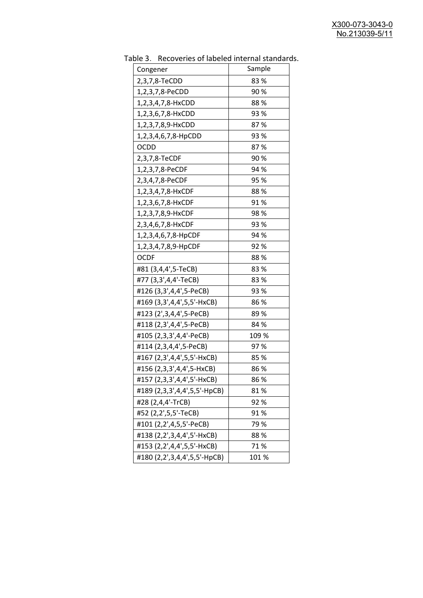| able 5. Include fies of fabeled internal standard |        |
|---------------------------------------------------|--------|
| Congener                                          | Sample |
| 2,3,7,8-TeCDD                                     | 83%    |
| 1,2,3,7,8-PeCDD                                   | 90%    |
| 1,2,3,4,7,8-HxCDD                                 | 88%    |
| 1,2,3,6,7,8-HxCDD                                 | 93 %   |
| 1,2,3,7,8,9-HxCDD                                 | 87%    |
| 1,2,3,4,6,7,8-HpCDD                               | 93 %   |
| <b>OCDD</b>                                       | 87%    |
| 2,3,7,8-TeCDF                                     | 90%    |
| 1,2,3,7,8-PeCDF                                   | 94 %   |
| 2,3,4,7,8-PeCDF                                   | 95 %   |
| 1,2,3,4,7,8-HxCDF                                 | 88%    |
| 1,2,3,6,7,8-HxCDF                                 | 91%    |
| 1,2,3,7,8,9-HxCDF                                 | 98 %   |
| 2,3,4,6,7,8-HxCDF                                 | 93 %   |
| 1,2,3,4,6,7,8-HpCDF                               | 94 %   |
| 1,2,3,4,7,8,9-HpCDF                               | 92 %   |
| <b>OCDF</b>                                       | 88%    |
| #81 (3,4,4',5-TeCB)                               | 83%    |
| #77 (3,3',4,4'-TeCB)                              | 83%    |
| #126 (3,3',4,4',5-PeCB)                           | 93 %   |
| #169 (3,3',4,4',5,5'-HxCB)                        | 86%    |
| #123 (2',3,4,4',5-PeCB)                           | 89%    |
| #118 (2,3',4,4',5-PeCB)                           | 84 %   |
| #105 (2,3,3',4,4'-PeCB)                           | 109 %  |
| #114 (2,3,4,4',5-PeCB)                            | 97%    |
| #167 (2,3',4,4',5,5'-HxCB)                        | 85 %   |
| #156 (2,3,3',4,4',5-HxCB)                         | 86%    |
| #157 (2,3,3',4,4',5'-HxCB)                        | 86 %   |
| #189 (2,3,3',4,4',5,5'-HpCB)                      | 81%    |
| #28 (2,4,4'-TrCB)                                 | 92%    |
| #52 (2,2',5,5'-TeCB)                              | 91%    |
| #101 (2,2',4,5,5'-PeCB)                           | 79%    |
| #138 (2,2',3,4,4',5'-HxCB)                        | 88%    |
| #153 (2,2',4,4',5,5'-HxCB)                        | 71%    |
| #180 (2,2',3,4,4',5,5'-HpCB)                      | 101%   |

Table 3. Recoveries of labeled internal standards.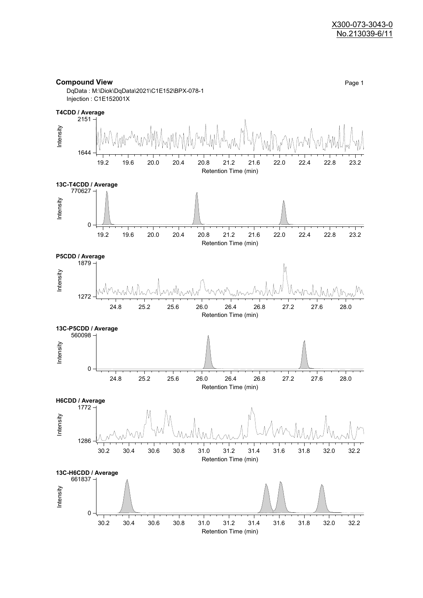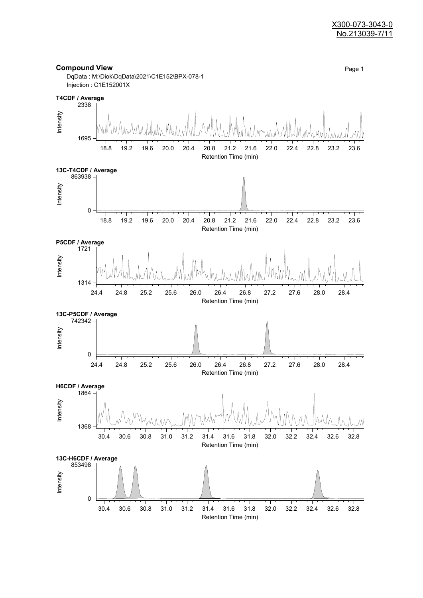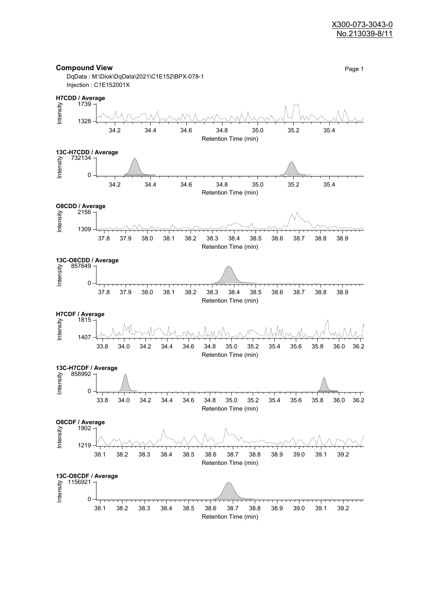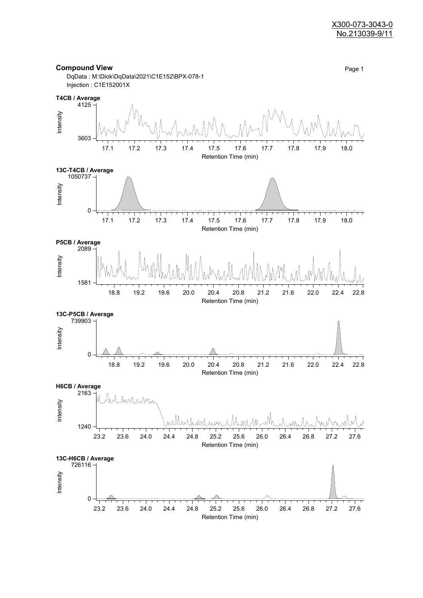![](_page_8_Figure_1.jpeg)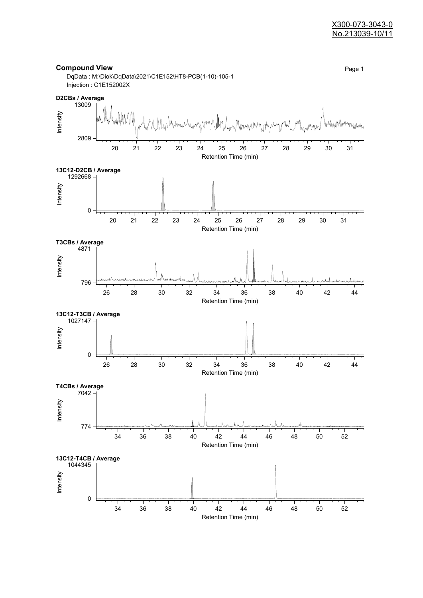![](_page_9_Figure_1.jpeg)